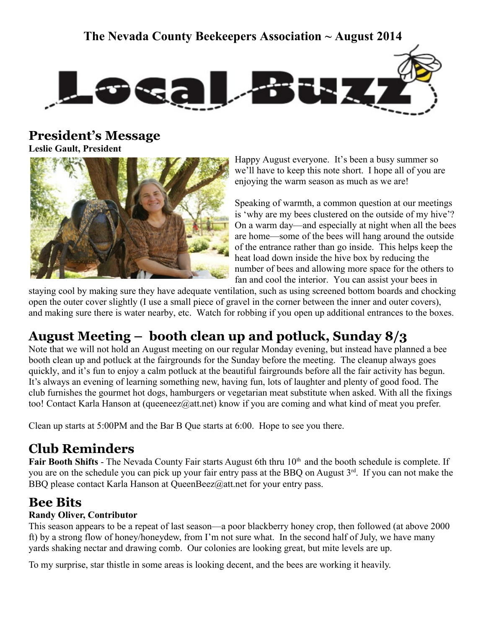## **The Nevada County Beekeepers Association ~ August 2014**



**President's Message**

**Leslie Gault, President**



Happy August everyone. It's been a busy summer so we'll have to keep this note short. I hope all of you are enjoying the warm season as much as we are!

Speaking of warmth, a common question at our meetings is 'why are my bees clustered on the outside of my hive'? On a warm day—and especially at night when all the bees are home—some of the bees will hang around the outside of the entrance rather than go inside. This helps keep the heat load down inside the hive box by reducing the number of bees and allowing more space for the others to fan and cool the interior. You can assist your bees in

staying cool by making sure they have adequate ventilation, such as using screened bottom boards and chocking open the outer cover slightly (I use a small piece of gravel in the corner between the inner and outer covers), and making sure there is water nearby, etc. Watch for robbing if you open up additional entrances to the boxes.

# **August Meeting – booth clean up and potluck, Sunday 8/3**

Note that we will not hold an August meeting on our regular Monday evening, but instead have planned a bee booth clean up and potluck at the fairgrounds for the Sunday before the meeting. The cleanup always goes quickly, and it's fun to enjoy a calm potluck at the beautiful fairgrounds before all the fair activity has begun. It's always an evening of learning something new, having fun, lots of laughter and plenty of good food. The club furnishes the gourmet hot dogs, hamburgers or vegetarian meat substitute when asked. With all the fixings too! Contact Karla Hanson at (queeneez@att.net) know if you are coming and what kind of meat you prefer.

Clean up starts at 5:00PM and the Bar B Que starts at 6:00. Hope to see you there.

## **Club Reminders**

**Fair Booth Shifts** - The Nevada County Fair starts August 6th thru 10<sup>th</sup> and the booth schedule is complete. If you are on the schedule you can pick up your fair entry pass at the BBQ on August 3rd. If you can not make the BBQ please contact Karla Hanson at QueenBeez@att.net for your entry pass.

## **Bee Bits**

#### **Randy Oliver, Contributor**

This season appears to be a repeat of last season—a poor blackberry honey crop, then followed (at above 2000 ft) by a strong flow of honey/honeydew, from I'm not sure what. In the second half of July, we have many yards shaking nectar and drawing comb. Our colonies are looking great, but mite levels are up.

To my surprise, star thistle in some areas is looking decent, and the bees are working it heavily.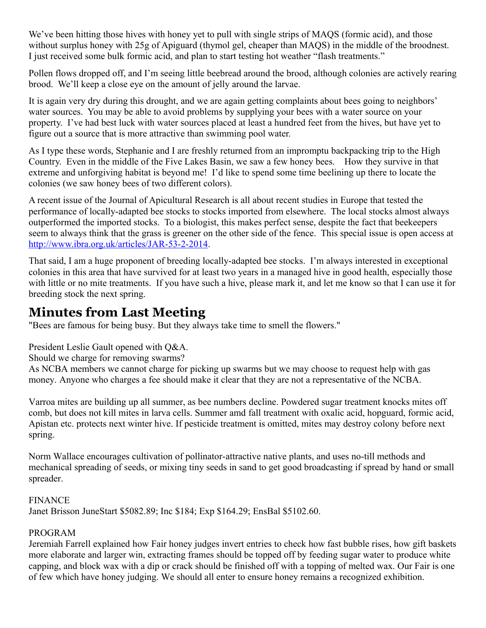We've been hitting those hives with honey yet to pull with single strips of MAQS (formic acid), and those without surplus honey with 25g of Apiguard (thymol gel, cheaper than MAQS) in the middle of the broodnest. I just received some bulk formic acid, and plan to start testing hot weather "flash treatments."

Pollen flows dropped off, and I'm seeing little beebread around the brood, although colonies are actively rearing brood. We'll keep a close eye on the amount of jelly around the larvae.

It is again very dry during this drought, and we are again getting complaints about bees going to neighbors' water sources. You may be able to avoid problems by supplying your bees with a water source on your property. I've had best luck with water sources placed at least a hundred feet from the hives, but have yet to figure out a source that is more attractive than swimming pool water.

As I type these words, Stephanie and I are freshly returned from an impromptu backpacking trip to the High Country. Even in the middle of the Five Lakes Basin, we saw a few honey bees. How they survive in that extreme and unforgiving habitat is beyond me! I'd like to spend some time beelining up there to locate the colonies (we saw honey bees of two different colors).

A recent issue of the Journal of Apicultural Research is all about recent studies in Europe that tested the performance of locally-adapted bee stocks to stocks imported from elsewhere. The local stocks almost always outperformed the imported stocks. To a biologist, this makes perfect sense, despite the fact that beekeepers seem to always think that the grass is greener on the other side of the fence. This special issue is open access at [http://www.ibra.org.uk/articles/JAR-53-2-2014.](http://www.ibra.org.uk/articles/JAR-53-2-2014)

That said, I am a huge proponent of breeding locally-adapted bee stocks. I'm always interested in exceptional colonies in this area that have survived for at least two years in a managed hive in good health, especially those with little or no mite treatments. If you have such a hive, please mark it, and let me know so that I can use it for breeding stock the next spring.

## **Minutes from Last Meeting**

"Bees are famous for being busy. But they always take time to smell the flowers."

President Leslie Gault opened with Q&A.

Should we charge for removing swarms?

As NCBA members we cannot charge for picking up swarms but we may choose to request help with gas money. Anyone who charges a fee should make it clear that they are not a representative of the NCBA.

Varroa mites are building up all summer, as bee numbers decline. Powdered sugar treatment knocks mites off comb, but does not kill mites in larva cells. Summer amd fall treatment with oxalic acid, hopguard, formic acid, Apistan etc. protects next winter hive. If pesticide treatment is omitted, mites may destroy colony before next spring.

Norm Wallace encourages cultivation of pollinator-attractive native plants, and uses no-till methods and mechanical spreading of seeds, or mixing tiny seeds in sand to get good broadcasting if spread by hand or small spreader.

#### **FINANCE**

Janet Brisson JuneStart \$5082.89; Inc \$184; Exp \$164.29; EnsBal \$5102.60.

#### PROGRAM

Jeremiah Farrell explained how Fair honey judges invert entries to check how fast bubble rises, how gift baskets more elaborate and larger win, extracting frames should be topped off by feeding sugar water to produce white capping, and block wax with a dip or crack should be finished off with a topping of melted wax. Our Fair is one of few which have honey judging. We should all enter to ensure honey remains a recognized exhibition.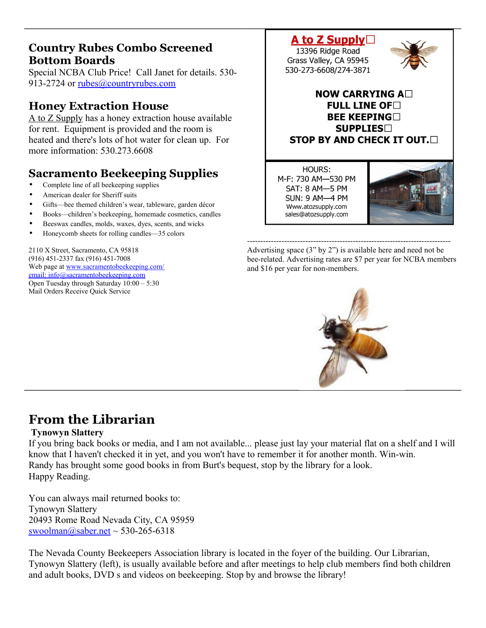### **Country Rubes Combo Screened Bottom Boards**

Special NCBA Club Price! Call Janet for details. 530 913-2724 or [rubes@countryrubes.com](mailto:rubes@countryrubes.com)

### **Honey Extraction House**

A to Z Supply has a honey extraction house available for rent. Equipment is provided and the room is heated and there's lots of hot water for clean up. For more information: 530 273 6608

## **Sacramento Beekeeping Supplies**

- Complete line of all beekeeping supplies
- American dealer for Sheriff suits
- Gifts—bee themed children's wear, tableware, garden décor
- Books—children's beekeeping, homemade cosmetics, candles
- Beeswax candles, molds, waxes, dyes, scents, and wicks
- Honeycomb sheets for rolling candles—35 colors

2110 X Street, Sacramento, CA 95818 (916) 451-2337 fax (916) 451-7008 Web page at [www.sacramentobeekeeping.com/](http://www.sacramentobeekeeping.com/) email: inf[o@sacramentobeekeeping.com](mailto:%20info@sacramentobeekeeping.com) Open Tuesday through Saturday 10:00 – 5:30 Mail Orders Receive Quick Service

### A to Z Supply $\Box$ 13396 Ridge Road Grass Valley, CA 95945 530-273-6608/274-3871



HOURS: M-F: 730 AM-530 PM SAT: 8 AM-5 PM **SUN: 9 AM-4 PM** Www.atozsupply.com sales@atozsupply.com



----------------------------------------------------------------------------- Advertising space (3" by 2") is available here and need not be bee-related. Advertising rates are \$7 per year for NCBA members and \$16 per year for non-members.



## **From the Librarian**

#### **Tynowyn Slattery**

If you bring back books or media, and I am not available... please just lay your material flat on a shelf and I will know that I haven't checked it in yet, and you won't have to remember it for another month. Win-win. Randy has brought some good books in from Burt's bequest, stop by the library for a look. Happy Reading.

You can always mail returned books to: Tynowyn Slattery 20493 Rome Road Nevada City, CA 95959 swoolman $\omega$ saber.net ~ 530-265-6318

The Nevada County Beekeepers Association library is located in the foyer of the building. Our Librarian, Tynowyn Slattery (left), is usually available before and after meetings to help club members find both children and adult books, DVD s and videos on beekeeping. Stop by and browse the library!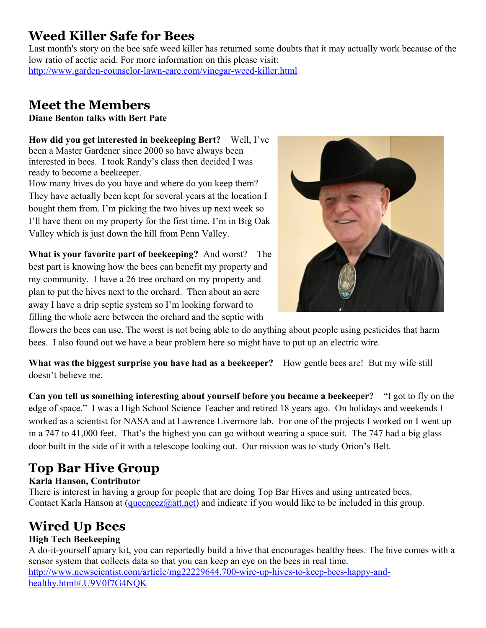## **Weed Killer Safe for Bees**

Last month's story on the bee safe weed killer has returned some doubts that it may actually work because of the low ratio of acetic acid. For more information on this please visit: <http://www.garden-counselor-lawn-care.com/vinegar-weed-killer.html>

## **Meet the Members**

**Diane Benton talks with Bert Pate**

**How did you get interested in beekeeping Bert?** Well, I've been a Master Gardener since 2000 so have always been interested in bees. I took Randy's class then decided I was ready to become a beekeeper.

How many hives do you have and where do you keep them? They have actually been kept for several years at the location I bought them from. I'm picking the two hives up next week so I'll have them on my property for the first time. I'm in Big Oak Valley which is just down the hill from Penn Valley.

**What is your favorite part of beekeeping?** And worst? The best part is knowing how the bees can benefit my property and my community. I have a 26 tree orchard on my property and plan to put the hives next to the orchard. Then about an acre away I have a drip septic system so I'm looking forward to filling the whole acre between the orchard and the septic with



flowers the bees can use. The worst is not being able to do anything about people using pesticides that harm bees. I also found out we have a bear problem here so might have to put up an electric wire.

**What was the biggest surprise you have had as a beekeeper?** How gentle bees are! But my wife still doesn't believe me.

**Can you tell us something interesting about yourself before you became a beekeeper?** "I got to fly on the edge of space." I was a High School Science Teacher and retired 18 years ago. On holidays and weekends I worked as a scientist for NASA and at Lawrence Livermore lab. For one of the projects I worked on I went up in a 747 to 41,000 feet. That's the highest you can go without wearing a space suit. The 747 had a big glass door built in the side of it with a telescope looking out. Our mission was to study Orion's Belt.

# **Top Bar Hive Group**

### **Karla Hanson, Contributor**

There is interest in having a group for people that are doing Top Bar Hives and using untreated bees. Contact Karla Hanson at  $(\text{queeneez@att.net})$  and indicate if you would like to be included in this group.

# **Wired Up Bees**

### **High Tech Beekeeping**

A do-it-yourself apiary kit, you can reportedly build a hive that encourages healthy bees. The hive comes with a sensor system that collects data so that you can keep an eye on the bees in real time. [http://www.newscientist.com/article/mg22229644.700-wire-up-hives-to-keep-bees-happy-and](http://www.newscientist.com/article/mg22229644.700-wire-up-hives-to-keep-bees-happy-and-healthy.html#.U9V0f7G4NQK)[healthy.html#.U9V0f7G4NQK](http://www.newscientist.com/article/mg22229644.700-wire-up-hives-to-keep-bees-happy-and-healthy.html#.U9V0f7G4NQK)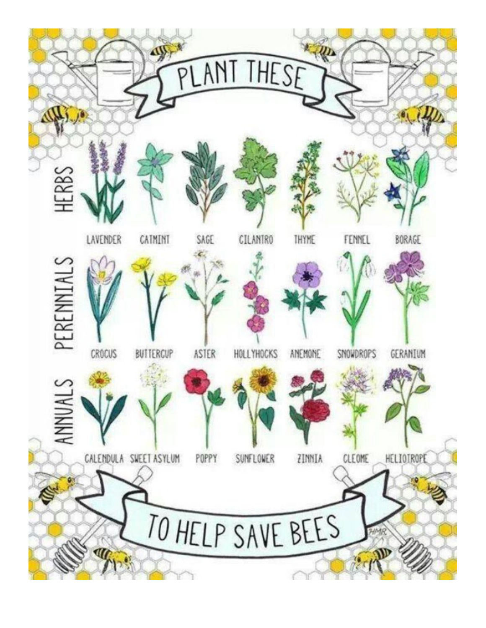